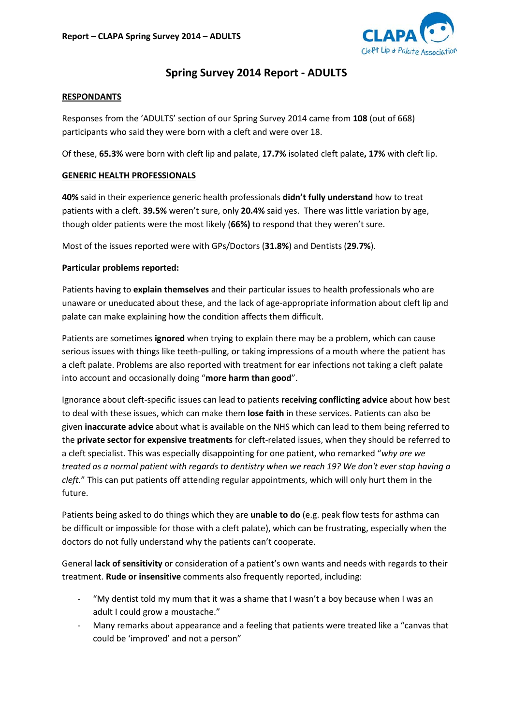

# **Spring Survey 2014 Report - ADULTS**

#### **RESPONDANTS**

Responses from the 'ADULTS' section of our Spring Survey 2014 came from **108** (out of 668) participants who said they were born with a cleft and were over 18.

Of these, **65.3%** were born with cleft lip and palate, **17.7%** isolated cleft palate**, 17%** with cleft lip.

#### **GENERIC HEALTH PROFESSIONALS**

**40%** said in their experience generic health professionals **didn't fully understand** how to treat patients with a cleft. **39.5%** weren't sure, only **20.4%** said yes. There was little variation by age, though older patients were the most likely (**66%)** to respond that they weren't sure.

Most of the issues reported were with GPs/Doctors (**31.8%**) and Dentists (**29.7%**).

#### **Particular problems reported:**

Patients having to **explain themselves** and their particular issues to health professionals who are unaware or uneducated about these, and the lack of age-appropriate information about cleft lip and palate can make explaining how the condition affects them difficult.

Patients are sometimes **ignored** when trying to explain there may be a problem, which can cause serious issues with things like teeth-pulling, or taking impressions of a mouth where the patient has a cleft palate. Problems are also reported with treatment for ear infections not taking a cleft palate into account and occasionally doing "**more harm than good**".

Ignorance about cleft-specific issues can lead to patients **receiving conflicting advice** about how best to deal with these issues, which can make them **lose faith** in these services. Patients can also be given **inaccurate advice** about what is available on the NHS which can lead to them being referred to the **private sector for expensive treatments** for cleft-related issues, when they should be referred to a cleft specialist. This was especially disappointing for one patient, who remarked "*why are we treated as a normal patient with regards to dentistry when we reach 19? We don't ever stop having a cleft.*" This can put patients off attending regular appointments, which will only hurt them in the future.

Patients being asked to do things which they are **unable to do** (e.g. peak flow tests for asthma can be difficult or impossible for those with a cleft palate), which can be frustrating, especially when the doctors do not fully understand why the patients can't cooperate.

General **lack of sensitivity** or consideration of a patient's own wants and needs with regards to their treatment. **Rude or insensitive** comments also frequently reported, including:

- "My dentist told my mum that it was a shame that I wasn't a boy because when I was an adult I could grow a moustache."
- Many remarks about appearance and a feeling that patients were treated like a "canvas that could be 'improved' and not a person"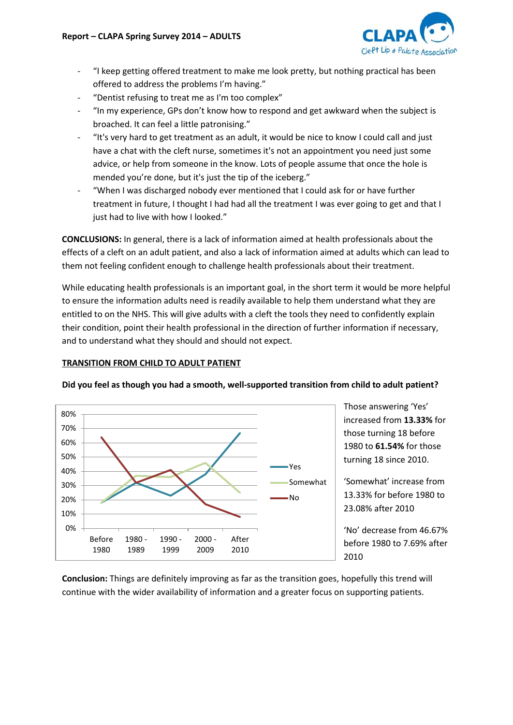

- "I keep getting offered treatment to make me look pretty, but nothing practical has been offered to address the problems I'm having."
- "Dentist refusing to treat me as I'm too complex"
- "In my experience, GPs don't know how to respond and get awkward when the subject is broached. It can feel a little patronising."
- "It's very hard to get treatment as an adult, it would be nice to know I could call and just have a chat with the cleft nurse, sometimes it's not an appointment you need just some advice, or help from someone in the know. Lots of people assume that once the hole is mended you're done, but it's just the tip of the iceberg."
- "When I was discharged nobody ever mentioned that I could ask for or have further treatment in future, I thought I had had all the treatment I was ever going to get and that I just had to live with how I looked."

**CONCLUSIONS:** In general, there is a lack of information aimed at health professionals about the effects of a cleft on an adult patient, and also a lack of information aimed at adults which can lead to them not feeling confident enough to challenge health professionals about their treatment.

While educating health professionals is an important goal, in the short term it would be more helpful to ensure the information adults need is readily available to help them understand what they are entitled to on the NHS. This will give adults with a cleft the tools they need to confidently explain their condition, point their health professional in the direction of further information if necessary, and to understand what they should and should not expect.

### **TRANSITION FROM CHILD TO ADULT PATIENT**



Those answering 'Yes' increased from **13.33%** for those turning 18 before 1980 to **61.54%** for those turning 18 since 2010.

'Somewhat' increase from 13.33% for before 1980 to 23.08% after 2010

'No' decrease from 46.67% before 1980 to 7.69% after 2010

**Conclusion:** Things are definitely improving as far as the transition goes, hopefully this trend will continue with the wider availability of information and a greater focus on supporting patients.

#### **Did you feel as though you had a smooth, well-supported transition from child to adult patient?**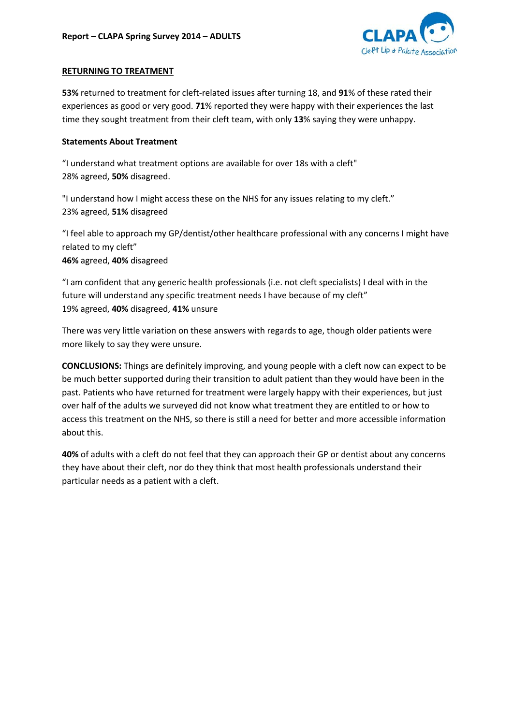

### **RETURNING TO TREATMENT**

**53%** returned to treatment for cleft-related issues after turning 18, and **91**% of these rated their experiences as good or very good. **71**% reported they were happy with their experiences the last time they sought treatment from their cleft team, with only **13**% saying they were unhappy.

#### **Statements About Treatment**

"I understand what treatment options are available for over 18s with a cleft" 28% agreed, **50%** disagreed.

"I understand how I might access these on the NHS for any issues relating to my cleft." 23% agreed, **51%** disagreed

"I feel able to approach my GP/dentist/other healthcare professional with any concerns I might have related to my cleft"

**46%** agreed, **40%** disagreed

"I am confident that any generic health professionals (i.e. not cleft specialists) I deal with in the future will understand any specific treatment needs I have because of my cleft" 19% agreed, **40%** disagreed, **41%** unsure

There was very little variation on these answers with regards to age, though older patients were more likely to say they were unsure.

**CONCLUSIONS:** Things are definitely improving, and young people with a cleft now can expect to be be much better supported during their transition to adult patient than they would have been in the past. Patients who have returned for treatment were largely happy with their experiences, but just over half of the adults we surveyed did not know what treatment they are entitled to or how to access this treatment on the NHS, so there is still a need for better and more accessible information about this.

**40%** of adults with a cleft do not feel that they can approach their GP or dentist about any concerns they have about their cleft, nor do they think that most health professionals understand their particular needs as a patient with a cleft.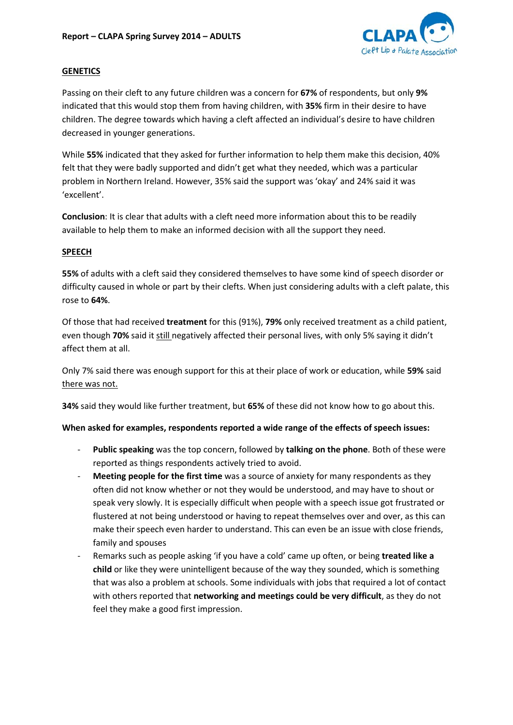

#### **GENETICS**

Passing on their cleft to any future children was a concern for **67%** of respondents, but only **9%** indicated that this would stop them from having children, with **35%** firm in their desire to have children. The degree towards which having a cleft affected an individual's desire to have children decreased in younger generations.

While **55%** indicated that they asked for further information to help them make this decision, 40% felt that they were badly supported and didn't get what they needed, which was a particular problem in Northern Ireland. However, 35% said the support was 'okay' and 24% said it was 'excellent'.

**Conclusion**: It is clear that adults with a cleft need more information about this to be readily available to help them to make an informed decision with all the support they need.

#### **SPEECH**

**55%** of adults with a cleft said they considered themselves to have some kind of speech disorder or difficulty caused in whole or part by their clefts. When just considering adults with a cleft palate, this rose to **64%**.

Of those that had received **treatment** for this (91%), **79%** only received treatment as a child patient, even though **70%** said it still negatively affected their personal lives, with only 5% saying it didn't affect them at all.

Only 7% said there was enough support for this at their place of work or education, while **59%** said there was not.

**34%** said they would like further treatment, but **65%** of these did not know how to go about this.

#### **When asked for examples, respondents reported a wide range of the effects of speech issues:**

- **Public speaking** was the top concern, followed by **talking on the phone**. Both of these were reported as things respondents actively tried to avoid.
- **Meeting people for the first time** was a source of anxiety for many respondents as they often did not know whether or not they would be understood, and may have to shout or speak very slowly. It is especially difficult when people with a speech issue got frustrated or flustered at not being understood or having to repeat themselves over and over, as this can make their speech even harder to understand. This can even be an issue with close friends, family and spouses
- Remarks such as people asking 'if you have a cold' came up often, or being **treated like a child** or like they were unintelligent because of the way they sounded, which is something that was also a problem at schools. Some individuals with jobs that required a lot of contact with others reported that **networking and meetings could be very difficult**, as they do not feel they make a good first impression.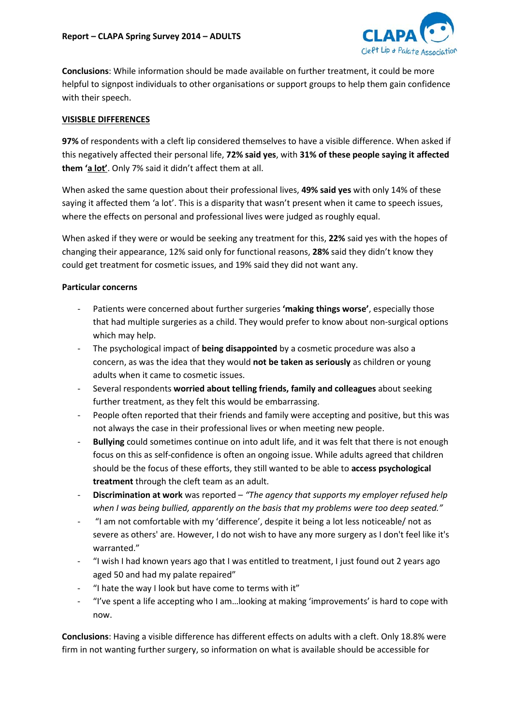

**Conclusions**: While information should be made available on further treatment, it could be more helpful to signpost individuals to other organisations or support groups to help them gain confidence with their speech.

## **VISISBLE DIFFERENCES**

**97%** of respondents with a cleft lip considered themselves to have a visible difference. When asked if this negatively affected their personal life, **72% said yes**, with **31% of these people saying it affected them 'a lot'**. Only 7% said it didn't affect them at all.

When asked the same question about their professional lives, **49% said yes** with only 14% of these saying it affected them 'a lot'. This is a disparity that wasn't present when it came to speech issues, where the effects on personal and professional lives were judged as roughly equal.

When asked if they were or would be seeking any treatment for this, **22%** said yes with the hopes of changing their appearance, 12% said only for functional reasons, **28%** said they didn't know they could get treatment for cosmetic issues, and 19% said they did not want any.

## **Particular concerns**

- Patients were concerned about further surgeries 'making things worse', especially those that had multiple surgeries as a child. They would prefer to know about non-surgical options which may help.
- The psychological impact of **being disappointed** by a cosmetic procedure was also a concern, as was the idea that they would **not be taken as seriously** as children or young adults when it came to cosmetic issues.
- Several respondents **worried about telling friends, family and colleagues** about seeking further treatment, as they felt this would be embarrassing.
- People often reported that their friends and family were accepting and positive, but this was not always the case in their professional lives or when meeting new people.
- **Bullying** could sometimes continue on into adult life, and it was felt that there is not enough focus on this as self-confidence is often an ongoing issue. While adults agreed that children should be the focus of these efforts, they still wanted to be able to **access psychological treatment** through the cleft team as an adult.
- **Discrimination at work** was reported *"The agency that supports my employer refused help when I was being bullied, apparently on the basis that my problems were too deep seated."*
- "I am not comfortable with my 'difference', despite it being a lot less noticeable/ not as severe as others' are. However, I do not wish to have any more surgery as I don't feel like it's warranted."
- "I wish I had known years ago that I was entitled to treatment, I just found out 2 years ago aged 50 and had my palate repaired"
- "I hate the way I look but have come to terms with it"
- "I've spent a life accepting who I am...looking at making 'improvements' is hard to cope with now.

**Conclusions**: Having a visible difference has different effects on adults with a cleft. Only 18.8% were firm in not wanting further surgery, so information on what is available should be accessible for